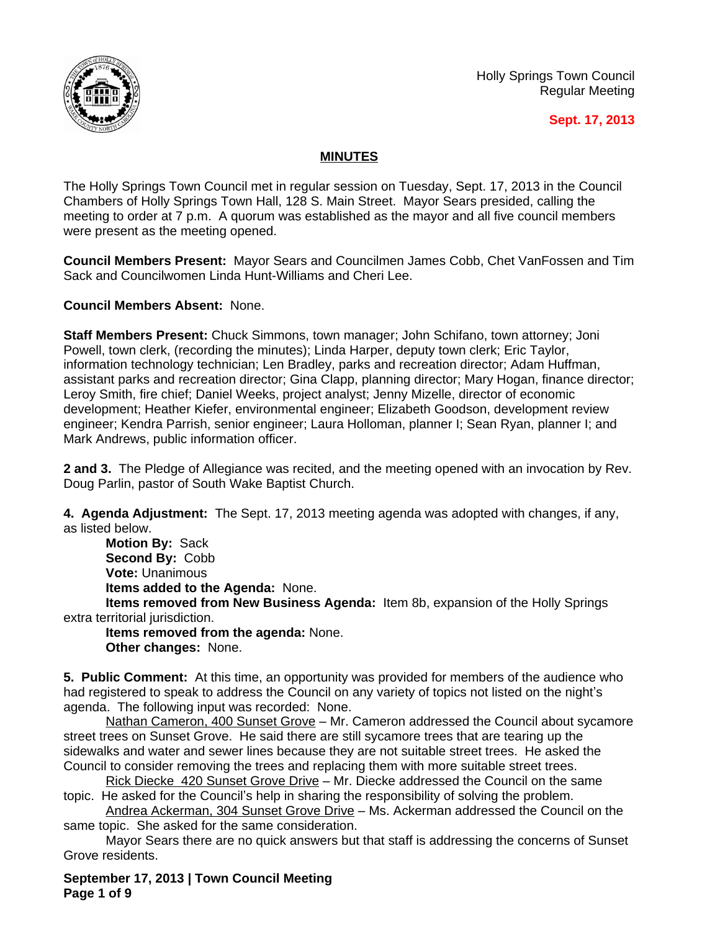

Holly Springs Town Council Regular Meeting

# **Sept. 17, 2013**

# **MINUTES**

The Holly Springs Town Council met in regular session on Tuesday, Sept. 17, 2013 in the Council Chambers of Holly Springs Town Hall, 128 S. Main Street. Mayor Sears presided, calling the meeting to order at 7 p.m. A quorum was established as the mayor and all five council members were present as the meeting opened.

**Council Members Present:** Mayor Sears and Councilmen James Cobb, Chet VanFossen and Tim Sack and Councilwomen Linda Hunt-Williams and Cheri Lee.

**Council Members Absent:** None.

**Staff Members Present:** Chuck Simmons, town manager; John Schifano, town attorney; Joni Powell, town clerk, (recording the minutes); Linda Harper, deputy town clerk; Eric Taylor, information technology technician; Len Bradley, parks and recreation director; Adam Huffman, assistant parks and recreation director; Gina Clapp, planning director; Mary Hogan, finance director; Leroy Smith, fire chief; Daniel Weeks, project analyst; Jenny Mizelle, director of economic development; Heather Kiefer, environmental engineer; Elizabeth Goodson, development review engineer; Kendra Parrish, senior engineer; Laura Holloman, planner I; Sean Ryan, planner I; and Mark Andrews, public information officer.

**2 and 3.** The Pledge of Allegiance was recited, and the meeting opened with an invocation by Rev. Doug Parlin, pastor of South Wake Baptist Church.

**4. Agenda Adjustment:** The Sept. 17, 2013 meeting agenda was adopted with changes, if any, as listed below.

**Motion By:** Sack **Second By:** Cobb **Vote:** Unanimous **Items added to the Agenda:** None.

**Items removed from New Business Agenda:** Item 8b, expansion of the Holly Springs extra territorial jurisdiction.

**Items removed from the agenda:** None. **Other changes:** None.

**5. Public Comment:** At this time, an opportunity was provided for members of the audience who had registered to speak to address the Council on any variety of topics not listed on the night's agenda. The following input was recorded: None.

Nathan Cameron, 400 Sunset Grove - Mr. Cameron addressed the Council about sycamore street trees on Sunset Grove. He said there are still sycamore trees that are tearing up the sidewalks and water and sewer lines because they are not suitable street trees. He asked the Council to consider removing the trees and replacing them with more suitable street trees.

Rick Diecke 420 Sunset Grove Drive – Mr. Diecke addressed the Council on the same topic. He asked for the Council's help in sharing the responsibility of solving the problem.

Andrea Ackerman, 304 Sunset Grove Drive – Ms. Ackerman addressed the Council on the same topic. She asked for the same consideration.

Mayor Sears there are no quick answers but that staff is addressing the concerns of Sunset Grove residents.

**September 17, 2013 | Town Council Meeting Page 1 of 9**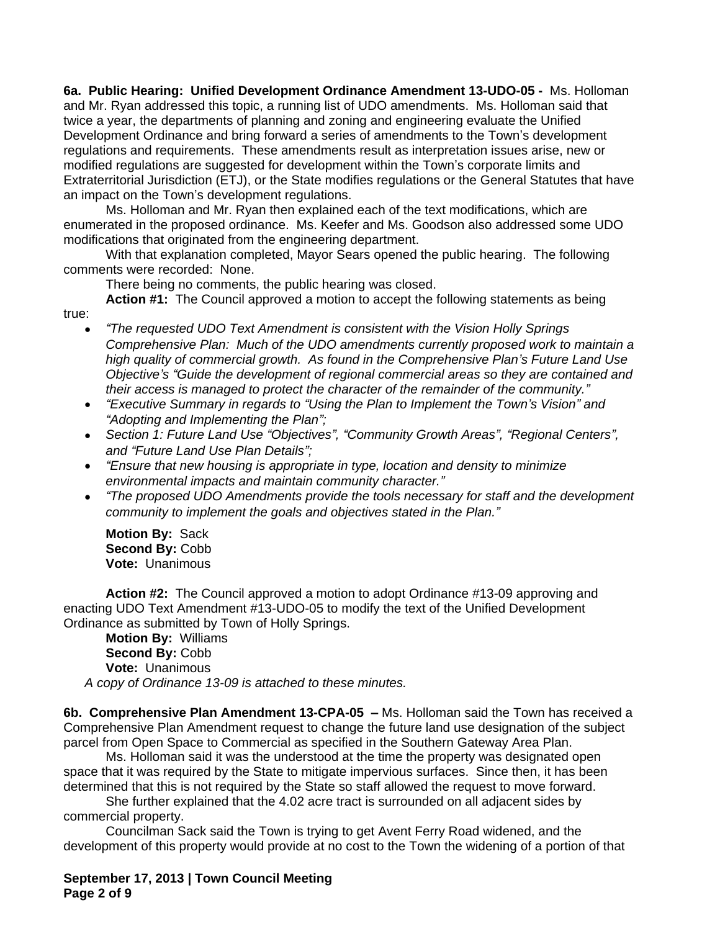**6a. Public Hearing: Unified Development Ordinance Amendment 13-UDO-05 -** Ms. Holloman and Mr. Ryan addressed this topic, a running list of UDO amendments. Ms. Holloman said that twice a year, the departments of planning and zoning and engineering evaluate the Unified Development Ordinance and bring forward a series of amendments to the Town's development regulations and requirements. These amendments result as interpretation issues arise, new or modified regulations are suggested for development within the Town's corporate limits and Extraterritorial Jurisdiction (ETJ), or the State modifies regulations or the General Statutes that have an impact on the Town's development regulations.

Ms. Holloman and Mr. Ryan then explained each of the text modifications, which are enumerated in the proposed ordinance. Ms. Keefer and Ms. Goodson also addressed some UDO modifications that originated from the engineering department.

With that explanation completed, Mayor Sears opened the public hearing. The following comments were recorded: None.

There being no comments, the public hearing was closed.

**Action #1:** The Council approved a motion to accept the following statements as being

- *"The requested UDO Text Amendment is consistent with the Vision Holly Springs Comprehensive Plan: Much of the UDO amendments currently proposed work to maintain a high quality of commercial growth. As found in the Comprehensive Plan's Future Land Use Objective's "Guide the development of regional commercial areas so they are contained and their access is managed to protect the character of the remainder of the community."*
- *"Executive Summary in regards to "Using the Plan to Implement the Town's Vision" and "Adopting and Implementing the Plan";*
- *Section 1: Future Land Use "Objectives", "Community Growth Areas", "Regional Centers", and "Future Land Use Plan Details";*
- *"Ensure that new housing is appropriate in type, location and density to minimize environmental impacts and maintain community character."*
- *"The proposed UDO Amendments provide the tools necessary for staff and the development community to implement the goals and objectives stated in the Plan."*

**Motion By:** Sack **Second By:** Cobb **Vote:** Unanimous

true:

**Action #2:** The Council approved a motion to adopt Ordinance #13-09 approving and enacting UDO Text Amendment #13-UDO-05 to modify the text of the Unified Development Ordinance as submitted by Town of Holly Springs.

**Motion By:** Williams **Second By:** Cobb **Vote:** Unanimous *A copy of Ordinance 13-09 is attached to these minutes.*

**6b. Comprehensive Plan Amendment 13-CPA-05 –** Ms. Holloman said the Town has received a Comprehensive Plan Amendment request to change the future land use designation of the subject parcel from Open Space to Commercial as specified in the Southern Gateway Area Plan.

Ms. Holloman said it was the understood at the time the property was designated open space that it was required by the State to mitigate impervious surfaces. Since then, it has been determined that this is not required by the State so staff allowed the request to move forward.

She further explained that the 4.02 acre tract is surrounded on all adjacent sides by commercial property.

Councilman Sack said the Town is trying to get Avent Ferry Road widened, and the development of this property would provide at no cost to the Town the widening of a portion of that

**September 17, 2013 | Town Council Meeting Page 2 of 9**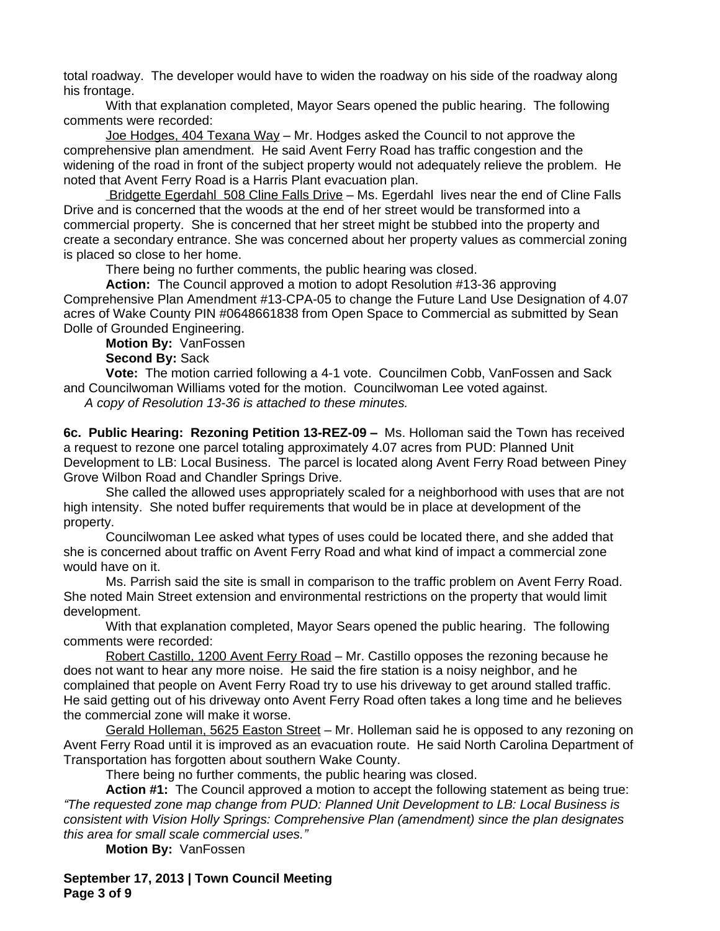total roadway. The developer would have to widen the roadway on his side of the roadway along his frontage.

With that explanation completed, Mayor Sears opened the public hearing. The following comments were recorded:

Joe Hodges, 404 Texana Way - Mr. Hodges asked the Council to not approve the comprehensive plan amendment. He said Avent Ferry Road has traffic congestion and the widening of the road in front of the subject property would not adequately relieve the problem. He noted that Avent Ferry Road is a Harris Plant evacuation plan.

Bridgette Egerdahl 508 Cline Falls Drive – Ms. Egerdahl lives near the end of Cline Falls Drive and is concerned that the woods at the end of her street would be transformed into a commercial property. She is concerned that her street might be stubbed into the property and create a secondary entrance. She was concerned about her property values as commercial zoning is placed so close to her home.

There being no further comments, the public hearing was closed.

**Action:** The Council approved a motion to adopt Resolution #13-36 approving Comprehensive Plan Amendment #13-CPA-05 to change the Future Land Use Designation of 4.07 acres of Wake County PIN #0648661838 from Open Space to Commercial as submitted by Sean Dolle of Grounded Engineering.

**Motion By:** VanFossen

**Second By:** Sack

**Vote:** The motion carried following a 4-1 vote. Councilmen Cobb, VanFossen and Sack and Councilwoman Williams voted for the motion. Councilwoman Lee voted against. *A copy of Resolution 13-36 is attached to these minutes.*

**6c. Public Hearing: Rezoning Petition 13-REZ-09 –** Ms. Holloman said the Town has received a request to rezone one parcel totaling approximately 4.07 acres from PUD: Planned Unit Development to LB: Local Business. The parcel is located along Avent Ferry Road between Piney Grove Wilbon Road and Chandler Springs Drive.

She called the allowed uses appropriately scaled for a neighborhood with uses that are not high intensity. She noted buffer requirements that would be in place at development of the property.

Councilwoman Lee asked what types of uses could be located there, and she added that she is concerned about traffic on Avent Ferry Road and what kind of impact a commercial zone would have on it.

Ms. Parrish said the site is small in comparison to the traffic problem on Avent Ferry Road. She noted Main Street extension and environmental restrictions on the property that would limit development.

With that explanation completed, Mayor Sears opened the public hearing. The following comments were recorded:

Robert Castillo, 1200 Avent Ferry Road – Mr. Castillo opposes the rezoning because he does not want to hear any more noise. He said the fire station is a noisy neighbor, and he complained that people on Avent Ferry Road try to use his driveway to get around stalled traffic. He said getting out of his driveway onto Avent Ferry Road often takes a long time and he believes the commercial zone will make it worse.

Gerald Holleman, 5625 Easton Street - Mr. Holleman said he is opposed to any rezoning on Avent Ferry Road until it is improved as an evacuation route. He said North Carolina Department of Transportation has forgotten about southern Wake County.

There being no further comments, the public hearing was closed.

**Action #1:** The Council approved a motion to accept the following statement as being true: *"The requested zone map change from PUD: Planned Unit Development to LB: Local Business is consistent with Vision Holly Springs: Comprehensive Plan (amendment) since the plan designates this area for small scale commercial uses."*

**Motion By:** VanFossen

**September 17, 2013 | Town Council Meeting Page 3 of 9**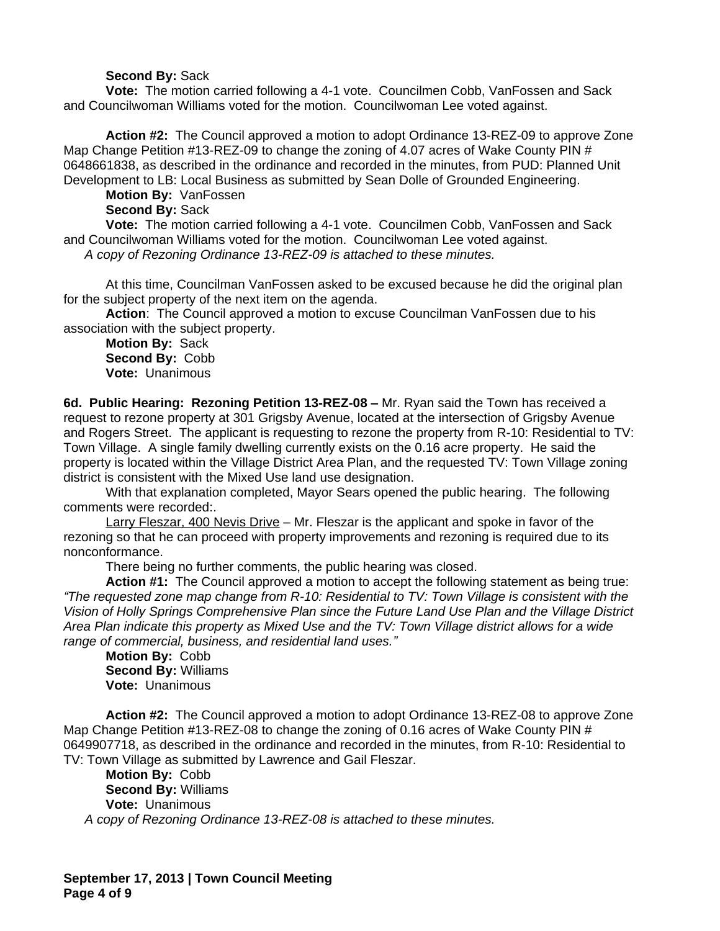### **Second By:** Sack

**Vote:** The motion carried following a 4-1 vote. Councilmen Cobb, VanFossen and Sack and Councilwoman Williams voted for the motion. Councilwoman Lee voted against.

**Action #2:** The Council approved a motion to adopt Ordinance 13-REZ-09 to approve Zone Map Change Petition #13-REZ-09 to change the zoning of 4.07 acres of Wake County PIN # 0648661838, as described in the ordinance and recorded in the minutes, from PUD: Planned Unit Development to LB: Local Business as submitted by Sean Dolle of Grounded Engineering.

**Motion By:** VanFossen

**Second By:** Sack

**Vote:** The motion carried following a 4-1 vote. Councilmen Cobb, VanFossen and Sack and Councilwoman Williams voted for the motion. Councilwoman Lee voted against. *A copy of Rezoning Ordinance 13-REZ-09 is attached to these minutes.*

At this time, Councilman VanFossen asked to be excused because he did the original plan for the subject property of the next item on the agenda.

**Action**: The Council approved a motion to excuse Councilman VanFossen due to his association with the subject property.

**Motion By:** Sack **Second By:** Cobb **Vote:** Unanimous

**6d. Public Hearing: Rezoning Petition 13-REZ-08 –** Mr. Ryan said the Town has received a request to rezone property at 301 Grigsby Avenue, located at the intersection of Grigsby Avenue and Rogers Street. The applicant is requesting to rezone the property from R-10: Residential to TV: Town Village. A single family dwelling currently exists on the 0.16 acre property. He said the property is located within the Village District Area Plan, and the requested TV: Town Village zoning district is consistent with the Mixed Use land use designation.

With that explanation completed, Mayor Sears opened the public hearing. The following comments were recorded:.

Larry Fleszar, 400 Nevis Drive – Mr. Fleszar is the applicant and spoke in favor of the rezoning so that he can proceed with property improvements and rezoning is required due to its nonconformance.

There being no further comments, the public hearing was closed.

**Action #1:** The Council approved a motion to accept the following statement as being true: *"The requested zone map change from R-10: Residential to TV: Town Village is consistent with the Vision of Holly Springs Comprehensive Plan since the Future Land Use Plan and the Village District Area Plan indicate this property as Mixed Use and the TV: Town Village district allows for a wide range of commercial, business, and residential land uses."*

**Motion By:** Cobb **Second By:** Williams **Vote:** Unanimous

**Action #2:** The Council approved a motion to adopt Ordinance 13-REZ-08 to approve Zone Map Change Petition #13-REZ-08 to change the zoning of 0.16 acres of Wake County PIN # 0649907718, as described in the ordinance and recorded in the minutes, from R-10: Residential to TV: Town Village as submitted by Lawrence and Gail Fleszar.

**Motion By:** Cobb **Second By:** Williams **Vote:** Unanimous *A copy of Rezoning Ordinance 13-REZ-08 is attached to these minutes.*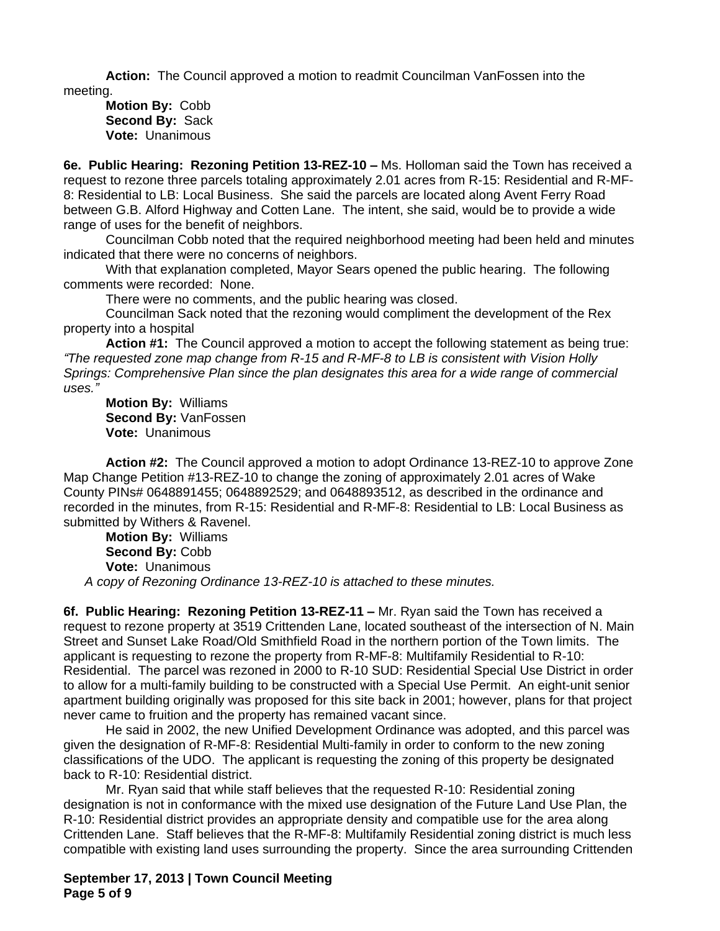**Action:** The Council approved a motion to readmit Councilman VanFossen into the meeting.

**Motion By:** Cobb **Second By:** Sack **Vote:** Unanimous

**6e. Public Hearing: Rezoning Petition 13-REZ-10 –** Ms. Holloman said the Town has received a request to rezone three parcels totaling approximately 2.01 acres from R-15: Residential and R-MF-8: Residential to LB: Local Business. She said the parcels are located along Avent Ferry Road between G.B. Alford Highway and Cotten Lane. The intent, she said, would be to provide a wide range of uses for the benefit of neighbors.

Councilman Cobb noted that the required neighborhood meeting had been held and minutes indicated that there were no concerns of neighbors.

With that explanation completed, Mayor Sears opened the public hearing. The following comments were recorded: None.

There were no comments, and the public hearing was closed.

Councilman Sack noted that the rezoning would compliment the development of the Rex property into a hospital

**Action #1:** The Council approved a motion to accept the following statement as being true: *"The requested zone map change from R-15 and R-MF-8 to LB is consistent with Vision Holly Springs: Comprehensive Plan since the plan designates this area for a wide range of commercial uses."*

**Motion By:** Williams **Second By:** VanFossen **Vote:** Unanimous

**Action #2:** The Council approved a motion to adopt Ordinance 13-REZ-10 to approve Zone Map Change Petition #13-REZ-10 to change the zoning of approximately 2.01 acres of Wake County PINs# 0648891455; 0648892529; and 0648893512, as described in the ordinance and recorded in the minutes, from R-15: Residential and R-MF-8: Residential to LB: Local Business as submitted by Withers & Ravenel.

**Motion By:** Williams **Second By:** Cobb **Vote:** Unanimous *A copy of Rezoning Ordinance 13-REZ-10 is attached to these minutes.*

**6f. Public Hearing: Rezoning Petition 13-REZ-11 – Mr. Ryan said the Town has received a** request to rezone property at 3519 Crittenden Lane, located southeast of the intersection of N. Main Street and Sunset Lake Road/Old Smithfield Road in the northern portion of the Town limits. The applicant is requesting to rezone the property from R-MF-8: Multifamily Residential to R-10: Residential. The parcel was rezoned in 2000 to R-10 SUD: Residential Special Use District in order to allow for a multi-family building to be constructed with a Special Use Permit. An eight-unit senior apartment building originally was proposed for this site back in 2001; however, plans for that project never came to fruition and the property has remained vacant since.

He said in 2002, the new Unified Development Ordinance was adopted, and this parcel was given the designation of R-MF-8: Residential Multi-family in order to conform to the new zoning classifications of the UDO. The applicant is requesting the zoning of this property be designated back to R-10: Residential district.

Mr. Ryan said that while staff believes that the requested R-10: Residential zoning designation is not in conformance with the mixed use designation of the Future Land Use Plan, the R-10: Residential district provides an appropriate density and compatible use for the area along Crittenden Lane. Staff believes that the R-MF-8: Multifamily Residential zoning district is much less compatible with existing land uses surrounding the property. Since the area surrounding Crittenden

**September 17, 2013 | Town Council Meeting Page 5 of 9**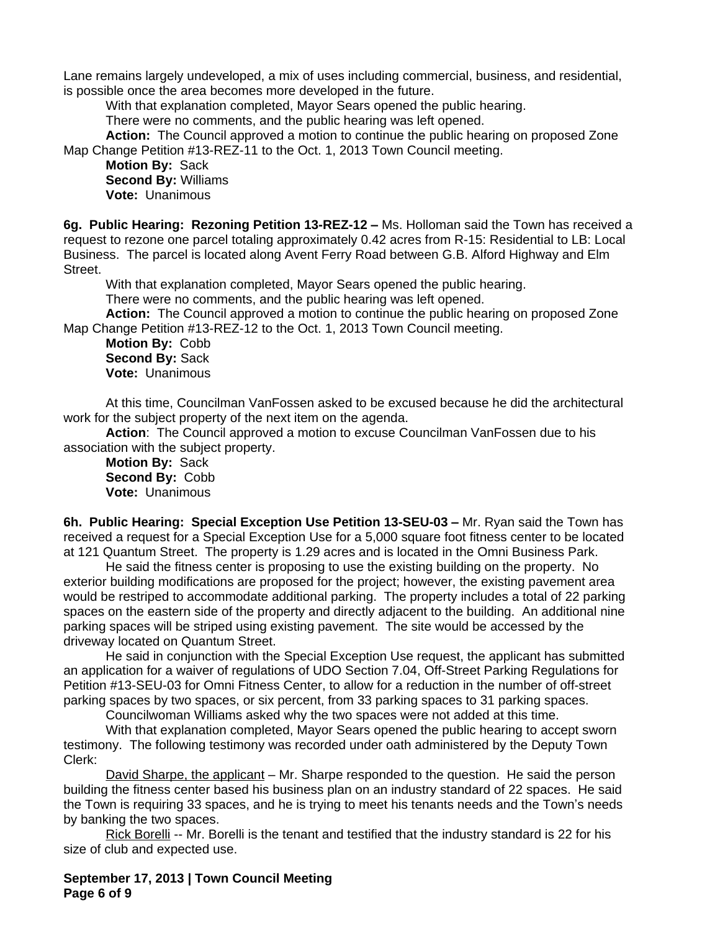Lane remains largely undeveloped, a mix of uses including commercial, business, and residential, is possible once the area becomes more developed in the future.

With that explanation completed, Mayor Sears opened the public hearing.

There were no comments, and the public hearing was left opened.

**Action:** The Council approved a motion to continue the public hearing on proposed Zone Map Change Petition #13-REZ-11 to the Oct. 1, 2013 Town Council meeting.

**Motion By:** Sack **Second By:** Williams **Vote:** Unanimous

**6g. Public Hearing: Rezoning Petition 13-REZ-12 –** Ms. Holloman said the Town has received a request to rezone one parcel totaling approximately 0.42 acres from R-15: Residential to LB: Local Business. The parcel is located along Avent Ferry Road between G.B. Alford Highway and Elm Street.

With that explanation completed, Mayor Sears opened the public hearing.

There were no comments, and the public hearing was left opened.

**Action:** The Council approved a motion to continue the public hearing on proposed Zone Map Change Petition #13-REZ-12 to the Oct. 1, 2013 Town Council meeting.

**Motion By:** Cobb **Second By:** Sack **Vote:** Unanimous

At this time, Councilman VanFossen asked to be excused because he did the architectural work for the subject property of the next item on the agenda.

**Action**: The Council approved a motion to excuse Councilman VanFossen due to his association with the subject property.

**Motion By:** Sack **Second By:** Cobb **Vote:** Unanimous

**6h. Public Hearing: Special Exception Use Petition 13-SEU-03 – Mr. Ryan said the Town has** received a request for a Special Exception Use for a 5,000 square foot fitness center to be located at 121 Quantum Street. The property is 1.29 acres and is located in the Omni Business Park.

He said the fitness center is proposing to use the existing building on the property. No exterior building modifications are proposed for the project; however, the existing pavement area would be restriped to accommodate additional parking. The property includes a total of 22 parking spaces on the eastern side of the property and directly adjacent to the building. An additional nine parking spaces will be striped using existing pavement. The site would be accessed by the driveway located on Quantum Street.

He said in conjunction with the Special Exception Use request, the applicant has submitted an application for a waiver of regulations of UDO Section 7.04, Off-Street Parking Regulations for Petition #13-SEU-03 for Omni Fitness Center, to allow for a reduction in the number of off-street parking spaces by two spaces, or six percent, from 33 parking spaces to 31 parking spaces.

Councilwoman Williams asked why the two spaces were not added at this time.

With that explanation completed, Mayor Sears opened the public hearing to accept sworn testimony. The following testimony was recorded under oath administered by the Deputy Town Clerk:

David Sharpe, the applicant – Mr. Sharpe responded to the question. He said the person building the fitness center based his business plan on an industry standard of 22 spaces. He said the Town is requiring 33 spaces, and he is trying to meet his tenants needs and the Town's needs by banking the two spaces.

Rick Borelli -- Mr. Borelli is the tenant and testified that the industry standard is 22 for his size of club and expected use.

**September 17, 2013 | Town Council Meeting Page 6 of 9**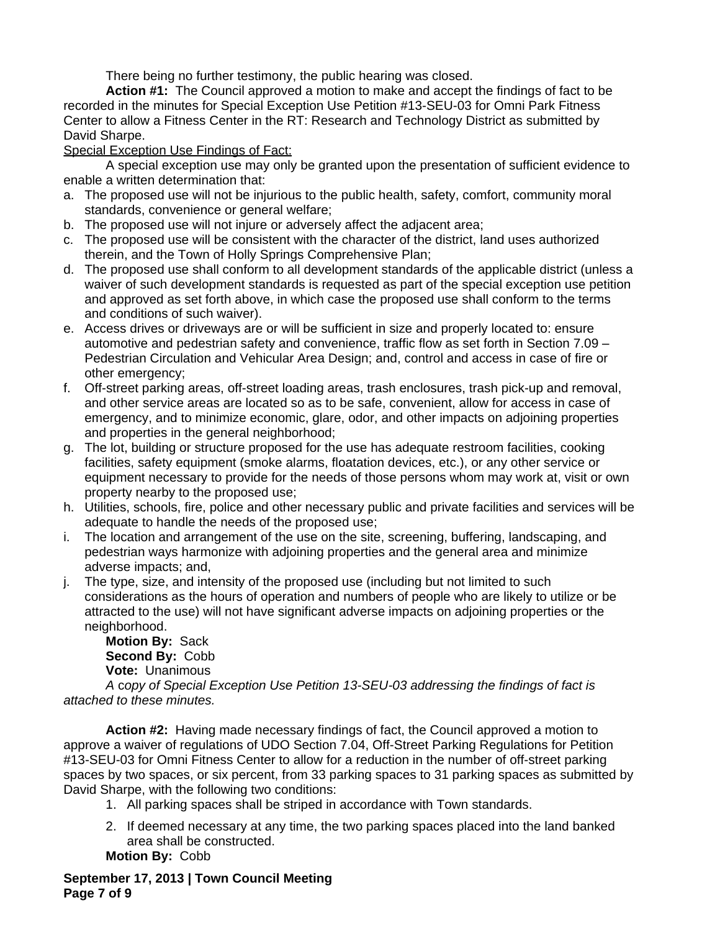There being no further testimony, the public hearing was closed.

**Action #1:** The Council approved a motion to make and accept the findings of fact to be recorded in the minutes for Special Exception Use Petition #13-SEU-03 for Omni Park Fitness Center to allow a Fitness Center in the RT: Research and Technology District as submitted by David Sharpe.

# Special Exception Use Findings of Fact:

A special exception use may only be granted upon the presentation of sufficient evidence to enable a written determination that:

- a. The proposed use will not be injurious to the public health, safety, comfort, community moral standards, convenience or general welfare;
- b. The proposed use will not injure or adversely affect the adjacent area;
- c. The proposed use will be consistent with the character of the district, land uses authorized therein, and the Town of Holly Springs Comprehensive Plan;
- d. The proposed use shall conform to all development standards of the applicable district (unless a waiver of such development standards is requested as part of the special exception use petition and approved as set forth above, in which case the proposed use shall conform to the terms and conditions of such waiver).
- e. Access drives or driveways are or will be sufficient in size and properly located to: ensure automotive and pedestrian safety and convenience, traffic flow as set forth in Section 7.09 – Pedestrian Circulation and Vehicular Area Design; and, control and access in case of fire or other emergency;
- f. Off-street parking areas, off-street loading areas, trash enclosures, trash pick-up and removal, and other service areas are located so as to be safe, convenient, allow for access in case of emergency, and to minimize economic, glare, odor, and other impacts on adjoining properties and properties in the general neighborhood;
- g. The lot, building or structure proposed for the use has adequate restroom facilities, cooking facilities, safety equipment (smoke alarms, floatation devices, etc.), or any other service or equipment necessary to provide for the needs of those persons whom may work at, visit or own property nearby to the proposed use;
- h. Utilities, schools, fire, police and other necessary public and private facilities and services will be adequate to handle the needs of the proposed use;
- i. The location and arrangement of the use on the site, screening, buffering, landscaping, and pedestrian ways harmonize with adjoining properties and the general area and minimize adverse impacts; and,
- j. The type, size, and intensity of the proposed use (including but not limited to such considerations as the hours of operation and numbers of people who are likely to utilize or be attracted to the use) will not have significant adverse impacts on adjoining properties or the neighborhood.

**Motion By:** Sack **Second By:** Cobb **Vote:** Unanimous

*A* c*opy of Special Exception Use Petition 13-SEU-03 addressing the findings of fact is attached to these minutes.*

**Action #2:** Having made necessary findings of fact, the Council approved a motion to approve a waiver of regulations of UDO Section 7.04, Off-Street Parking Regulations for Petition #13-SEU-03 for Omni Fitness Center to allow for a reduction in the number of off-street parking spaces by two spaces, or six percent, from 33 parking spaces to 31 parking spaces as submitted by David Sharpe, with the following two conditions:

- 1. All parking spaces shall be striped in accordance with Town standards.
- 2. If deemed necessary at any time, the two parking spaces placed into the land banked area shall be constructed.

**Motion By:** Cobb

**September 17, 2013 | Town Council Meeting Page 7 of 9**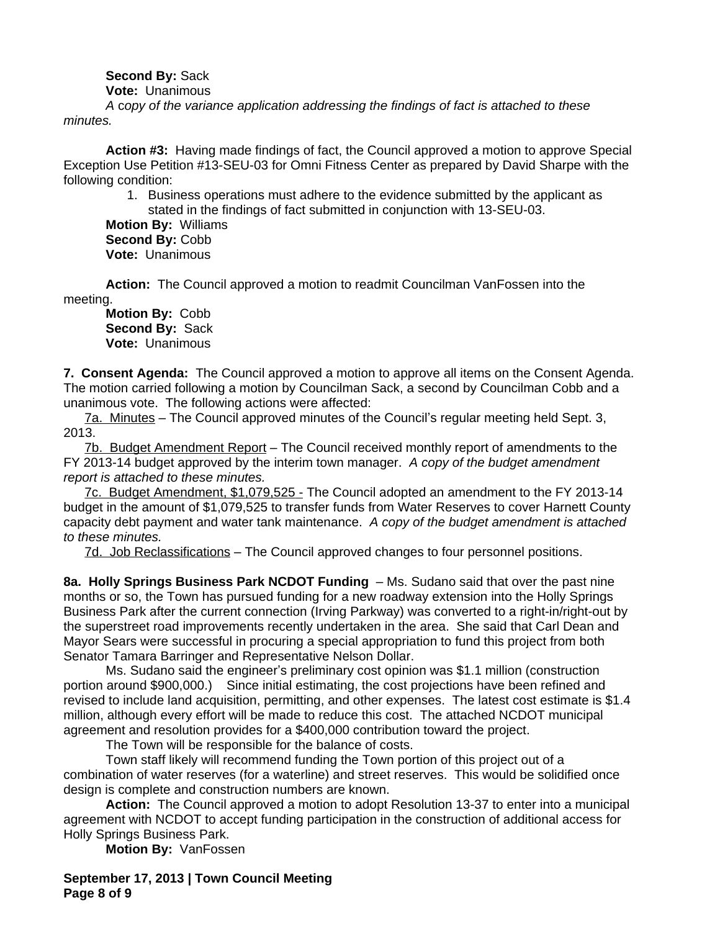# **Second By:** Sack

**Vote:** Unanimous

*A* c*opy of the variance application addressing the findings of fact is attached to these minutes.*

**Action #3:** Having made findings of fact, the Council approved a motion to approve Special Exception Use Petition #13-SEU-03 for Omni Fitness Center as prepared by David Sharpe with the following condition:

> 1. Business operations must adhere to the evidence submitted by the applicant as stated in the findings of fact submitted in conjunction with 13-SEU-03.

**Motion By:** Williams **Second By:** Cobb **Vote:** Unanimous

**Action:** The Council approved a motion to readmit Councilman VanFossen into the meeting.

**Motion By:** Cobb **Second By:** Sack **Vote:** Unanimous

**7. Consent Agenda:** The Council approved a motion to approve all items on the Consent Agenda. The motion carried following a motion by Councilman Sack, a second by Councilman Cobb and a unanimous vote. The following actions were affected:

7a. Minutes – The Council approved minutes of the Council's regular meeting held Sept. 3, 2013.

7b. Budget Amendment Report – The Council received monthly report of amendments to the FY 2013-14 budget approved by the interim town manager. *A copy of the budget amendment report is attached to these minutes.*

7c. Budget Amendment, \$1,079,525 - The Council adopted an amendment to the FY 2013-14 budget in the amount of \$1,079,525 to transfer funds from Water Reserves to cover Harnett County capacity debt payment and water tank maintenance. *A copy of the budget amendment is attached to these minutes.*

7d. Job Reclassifications – The Council approved changes to four personnel positions.

**8a. Holly Springs Business Park NCDOT Funding** – Ms. Sudano said that over the past nine months or so, the Town has pursued funding for a new roadway extension into the Holly Springs Business Park after the current connection (Irving Parkway) was converted to a right-in/right-out by the superstreet road improvements recently undertaken in the area. She said that Carl Dean and Mayor Sears were successful in procuring a special appropriation to fund this project from both Senator Tamara Barringer and Representative Nelson Dollar.

Ms. Sudano said the engineer's preliminary cost opinion was \$1.1 million (construction portion around \$900,000.) Since initial estimating, the cost projections have been refined and revised to include land acquisition, permitting, and other expenses. The latest cost estimate is \$1.4 million, although every effort will be made to reduce this cost. The attached NCDOT municipal agreement and resolution provides for a \$400,000 contribution toward the project.

The Town will be responsible for the balance of costs.

Town staff likely will recommend funding the Town portion of this project out of a combination of water reserves (for a waterline) and street reserves. This would be solidified once design is complete and construction numbers are known.

**Action:** The Council approved a motion to adopt Resolution 13-37 to enter into a municipal agreement with NCDOT to accept funding participation in the construction of additional access for Holly Springs Business Park.

**Motion By:** VanFossen

**September 17, 2013 | Town Council Meeting Page 8 of 9**